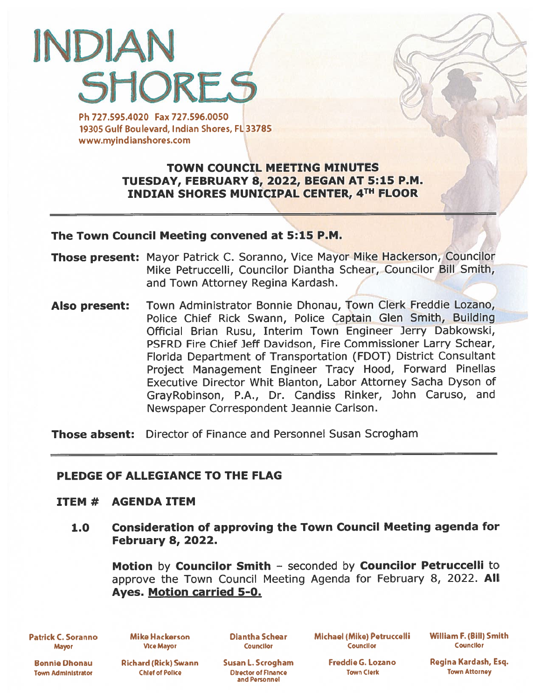# INDIAN **SHORES**

Ph 727.595.4020 Fax 727.596.0050 19305 Gulf Boulevard, Indian Shores, FL 33785 www.myindianshores.com

# TOWN COUNCIL MEETING MINUTES TUESDAY, FEBRUARY 8, 2022, BEGAN AT 5:15 P.M. INDIAN SHORES MUNICIPAL CENTER, 4TH FLOOR

#### The Town Council Meeting convened at 5:15 P.M.

- **Those present:** Mayor Patrick C. Soranno, Vice Mayor Mike Hackerson, Councilor Mike Petruccelli, Councilor Diantha Schear, Councilor Bill Smith, and Town Attorney Regina Kardash.
- Also present: Town Administrator Bonnie Dhonau, Town Clerk Freddie Lozano, Police Chief Rick Swann, Police Captain Glen Smith, Building Official Brian Rusu, Interim Town Engineer Jerry Dabkowski, PSFRD Fire Chief Jeff Davidson, Fire Commissioner Larry Schear, Florida Department of Transportation (FDOT) District Consultant Project Management Engineer Tracy Hood, Forward Pinellas Executive Director Whit Blanton, Labor Attorney Sacha Dyson of GrayRobinson, P.A., Dr. Candiss Rinker, John Caruso, and Newspaper Correspondent Jeannie Carlson.

**Those absent:** Director of Finance and Personnel Susan Scrogham

## PLEDGE OF ALLEGIANCE TO THE FLAG

## ITEM # AGENDA ITEM

1.0 Consideration of approving the Town Council Meeting agenda for February 8, 2022.

Motion by Councilor Smith — seconded by Councilor Petruccelli to approve the Town Council Meeting Agenda for February 8, 2022. All Ayes. Motion carried 5-0.

Patrick C. Soranno Mayor

Mike Hackerson Vice Mayor

Diantha Schear **Councilor** 

Michael (Mike) Petruccelli Counciior

William F. (Bill) Smith Councilor

Bonnie Dhonau Town Administrator

Richard (Rick) Swann Chief of Poike

Susan L. Scrogham Director of Finance and Personnel

Freddie G. Lozano Town Clerk

Regina Kardash, Esq. Town Attorney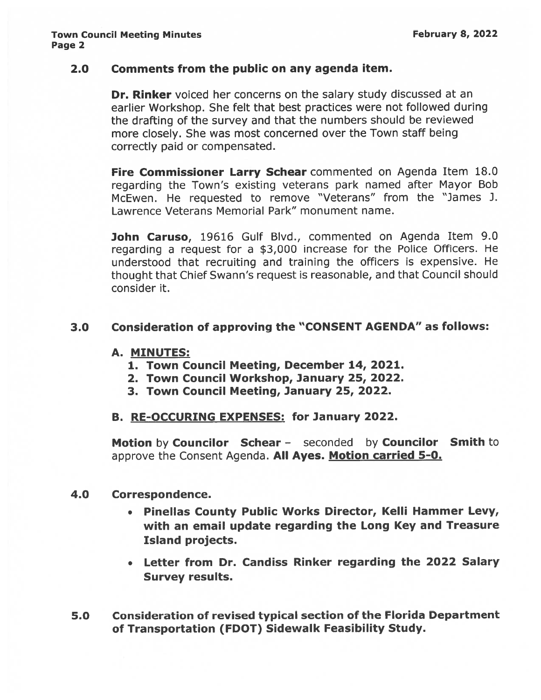## 2.0 Comments from the public on any agenda item.

Dr. Rinker voiced her concerns on the salary study discussed at an earlier Workshop. She felt that best practices were not followed during the drafting of the survey and that the numbers should be reviewed more closely. She was most concerned over the Town staff being correctly paid or compensated.

Fire Commissioner Larry Schear commented on Agenda Item 18.0 regarding the Town's existing veterans par<sup>k</sup> named after Mayor Bob McEwen. He requested to remove "Veterans" from the "James J. Lawrence Veterans Memorial Park" monument name.

John Caruso, 19616 Gulf Blvd., commented on Agenda Item 9.0 regarding <sup>a</sup> reques<sup>t</sup> for <sup>a</sup> \$3,000 increase for the Police Officers. He understood that recruiting and training the officers is expensive. He thought that Chief Swann's reques<sup>t</sup> is reasonable, and that Council should consider it.

## 3.0 Consideration of approving the "CONSENT AGENDA" as follows:

#### A. MINUTES:

- 1. Town Council Meeting, December 14, 2021.
- 2. Town Council Workshop, January 25, 2022.
- 3. Town Council Meeting, January 25, 2022.

## B. RE-OCCURING EXPENSES: for January 2022.

Motion by Councilor Schear - seconded by Councilor Smith to approve the Consent Agenda. All Ayes. Motion carried 5-0.

## 4.0 Correspondence.

- • Pinellas County Public Works Director, Kelli Hammer Levy, with an email update regarding the Long Key and Treasure Island projects.
- Letter from Dr. Candiss Rinker regarding the 2022 Salary Survey results.
- 5.0 Consideration of revised typical section of the Florida Department of Transportation (FDOT) Sidewalk Feasibility Study.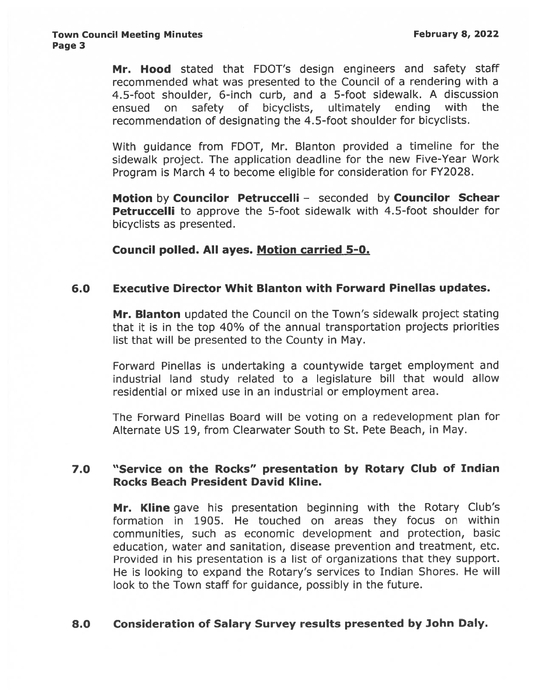Mr. Hood stated that FDOT's design engineers and safety staff recommended what was presented to the Council of <sup>a</sup> rendering with <sup>a</sup> 4.5-foot shoulder, 6-inch curb, and <sup>a</sup> 5-foot sidewalk. A discussion ensued on safety of bicyclists, ultimately ending with the recommendation of designating the 4.5-foot shoulder for bicyclists.

With guidance from FDOT, Mr. Blanton provided <sup>a</sup> timeline for the sidewalk project. The application deadline for the new Five-Year Work Program is March 4 to become eligible for consideration for FY2028.

Motion by Councilor Petruccelli - seconded by Councilor Schear **Petruccelli** to approve the 5-foot sidewalk with 4.5-foot shoulder for bicyclists as presented.

Council polled. All ayes. Motion carried 5-0.

## 6.0 Executive Director Whit Blanton with Forward Pinellas updates.

Mr. Blanton updated the Council on the Town's sidewalk project stating that it is in the top 4O% of the annual transportation projects priorities list that will be presented to the County in May.

Forward Pinellas is undertaking <sup>a</sup> countywide target employment and industrial land study related to <sup>a</sup> legislature bill that would allow residential or mixed use in an industrial or employment area.

The Forward Pinellas Board will be voting on <sup>a</sup> redevelopment plan for Alternate US 19, from Clearwater South to St. Pete Beach, in May.

# 7.0 "Service on the Rocks" presentation by Rotary Club of Indian Rocks Beach President David Kline.

Mr. Kline gave his presentation beginning with the Rotary Club's formation in 1905. He touched on areas they focus on within communities, such as economic development and protection, basic education, water and sanitation, disease prevention and treatment, etc. Provided in his presentation is <sup>a</sup> list of organizations that they support. He is looking to expand the Rotary's services to Indian Shores. He will look to the Town staff for guidance, possibly in the future.

# 8.0 Consideration of Salary Survey results presented by John Daly.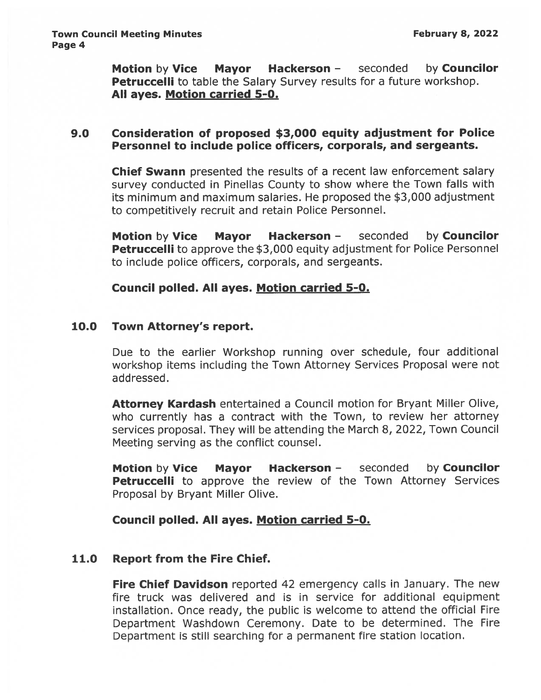Motion by Vice Mayor Hackerson - seconded by Councilor **Petruccelli** to table the Salary Survey results for a future workshop. All ayes. Motion carried 5-0.

## 9.0 Consideration of proposed \$3,000 equity adjustment for Police Personnel to include police officers, corporals, and sergeants.

Chief Swann presented the results of <sup>a</sup> recent law enforcement salary survey conducted in Pinellas County to show where the Town falls with its minimum and maximum salaries. He proposed the \$3,000 adjustment to competitively recruit and retain Police Personnel.

**Motion by Vice Mayor Hackerson -** seconded by **Councilor Petruccelli** to approve the \$3,000 equity adjustment for Police Personnel to include police officers, corporals, and sergeants.

Council polled. All ayes. Motion carried 5-0.

# 10.0 Town Attorney's report.

Due to the earlier Workshop running over schedule, four additional workshop items including the Town Attorney Services Proposal were not addressed.

Attorney Kardash entertained a Council motion for Bryant Miller Olive, who currently has <sup>a</sup> contract with the Town, to review her attorney services proposal. They will be attending the March 8, 2022, Town Council Meeting serving as the conflict counsel.

Motion by Vice Mayor Hackerson - seconded by Councilor Petruccelli to approve the review of the Town Attorney Services Proposal by Bryant Miller Olive.

Council polled. All ayes. Motion carried 5-0.

# 11.0 Report from the Fire Chief.

Fire Chief Davidson reported 42 emergency calls in January. The new fire truck was delivered and is in service for additional equipment installation. Once ready, the public is welcome to attend the official Fire Department Washdown Ceremony. Date to be determined. The Fire Department is still searching for <sup>a</sup> permanen<sup>t</sup> fire station location.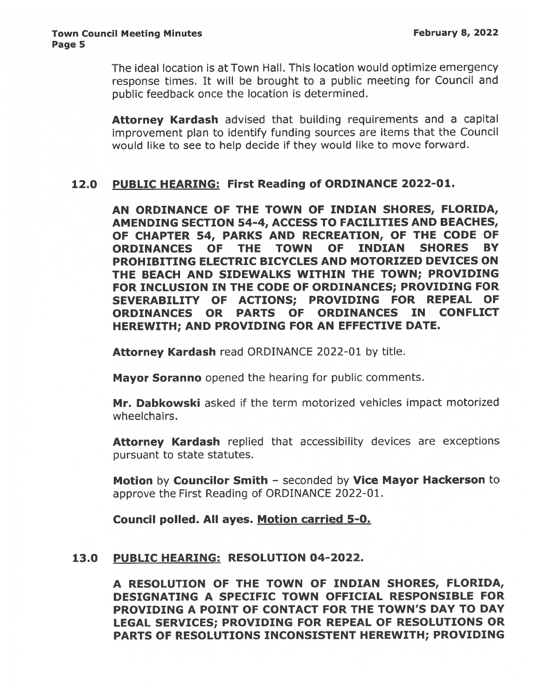The ideal location is at Town Hall. This location would optimize emergency response times. It will be brought to <sup>a</sup> public meeting for Council and public feedback once the location is determined.

Attorney Kardash advised that building requirements and a capital improvement <sup>p</sup>lan to identify funding sources are items that the Council would like to see to help decide if they would like to move forward.

# 12.0 PUBLIC HEARING: First Reading of ORDINANCE 2022-01.

AN ORDINANCE OF THE TOWN OF INDIAN SHORES, FLORIDA, AMENDING SECTION 54-4, ACCESS TO FACILITIES AND BEACHES, OF CHAPTER 54, PARKS AND RECREATION, OF THE CODE OF ORDINANCES OF THE TOWN OF INDIAN SHORES BY PROHIBITING ELECTRIC BICYCLES AND MOTORIZED DEVICES ON THE BEACH AND SIDEWALKS WITHIN THE TOWN; PROVIDING FOR INCLUSION IN THE CODE OF ORDINANCES; PROVIDING FOR SEVERABILITY OF ACTIONS; PROVIDING FOR REPEAL OF ORDINANCES OR PARTS OF ORDINANCES IN CONFLICT HEREWITH; AND PROVIDING FOR AN EFFECTIVE DATE.

Attorney Kardash read ORDINANCE 2022-01 by title.

Mayor Soranno opened the hearing for public comments.

Mr. Dabkowski asked if the term motorized vehicles impact motorized wheelchairs.

Attorney Kardash replied that accessibility devices are exceptions pursuant to state statutes.

Motion by Councilor Smith - seconded by Vice Mayor Hackerson to approve the First Reading of ORDINANCE 2022-01.

Council polled. All ayes. Motion carried 5-0.

# 13.0 PUBLIC HEARING: RESOLUTION 04-2022.

A RESOLUTION OF THE TOWN OF INDIAN SHORES, FLORIDA, DESIGNATING A SPECIFIC TOWN OFFICIAL RESPONSIBLE FOR PROVIDING A POINT OF CONTACT FOR THE TOWN'S DAY TO DAY LEGAL SERVICES; PROVIDING FOR REPEAL OF RESOLUTIONS OR PARTS OF RESOLUTIONS INCONSISTENT HEREWITH; PROVIDING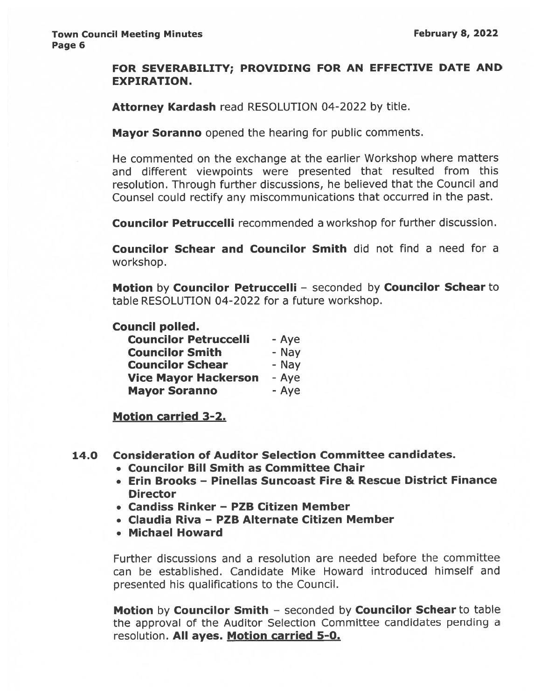## FOR SEVERABILITY; PROVIDING FOR AN EFFECTIVE DATE AND EXPIRATION.

Attorney Kardash read RESOLUTION 04-2022 by title.

Mayor Soranno opened the hearing for public comments.

He commented on the exchange at the earlier Workshop where matters and different viewpoints were presented that resulted from this resolution. Through further discussions, he believed that the Council and Counsel could rectify any miscommunications that occurred in the past.

Councilor Petruccelli recommended <sup>a</sup> workshop for further discussion.

Councilor Schear and Councilor Smith did not find <sup>a</sup> need for <sup>a</sup> workshop.

Motion by Councilor Petruccelli — seconded by Councilor Schear to table RESOLUTION 04-2022 for <sup>a</sup> future workshop.

## Council polled.

| <b>Councilor Petruccelli</b> | - Aye |
|------------------------------|-------|
| <b>Councilor Smith</b>       | - Nay |
| <b>Councilor Schear</b>      | - Nay |
| <b>Vice Mayor Hackerson</b>  | - Aye |
| <b>Mayor Soranno</b>         | - Aye |

Motion carried 3-2.

- 14.0 Consideration of Auditor Selection Committee candidates.
	- Councilor Bill Smith as Committee Chair
	- Erin Brooks Pinellas Suncoast Fire & Rescue District Finance **Director**
	- Candiss Rinker PZB Citizen Member
	- Claudia Riva PZB Alternate Citizen Member
	- Michael Howard

Further discussions and <sup>a</sup> resolution are needed before the committee can be established. Candidate Mike Howard introduced himself and presented his qualifications to the Council.

Motion by Councilor Smith — seconded by Councilor Schear to table the approva<sup>l</sup> of the Auditor Selection Committee candidates pending <sup>a</sup> resolution. All ayes. Motion carried 5-0.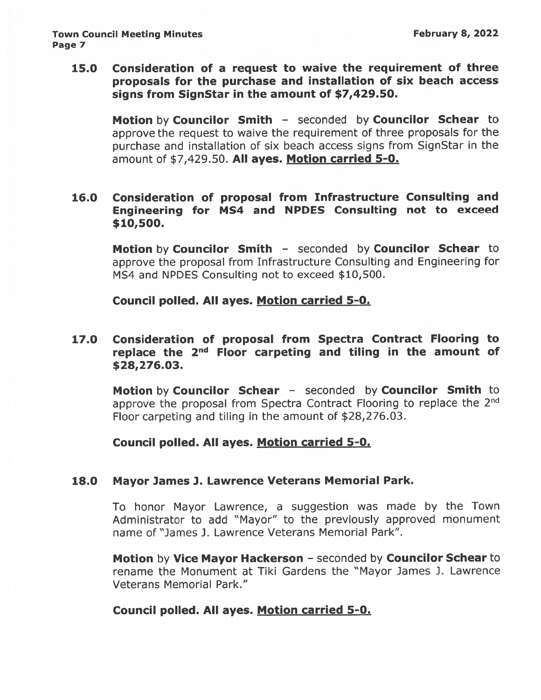15.0 Consideration of <sup>a</sup> reques<sup>t</sup> to waive the requirement of three proposals for the purchase and installation of six beach access signs from SignStar in the amount of \$7,429.50.

Motion by Councilor Smith - seconded by Councilor Schear to approve the reques<sup>t</sup> to waive the requirement of three proposals for the purchase and installation of six beach access signs from SignStar in the amount of \$7,429.50. All ayes. Motion carried 5-0.

# 16.0 Consideration of proposal from Infrastructure Consulting and Engineering for MS4 and NPDES Consulting not to exceed \$10,500.

Motion by Councilor Smith - seconded by Councilor Schear to approve the proposa<sup>l</sup> from Infrastructure Consulting and Engineering for MS4 and NPDES Consulting not to exceed \$10,500.

Council polled. All ayes. Motion carried 5-0.

# 17.0 Consideration of proposal from Spectra Contract Flooring to replace the  $2<sup>nd</sup>$  Floor carpeting and tiling in the amount of \$28,276.03.

Motion by Councilor Schear - seconded by Councilor Smith to approve the proposal from Spectra Contract Flooring to replace the 2<sup>nd</sup> Floor carpeting and tiling in the amount of \$28,276.03.

# Council polled. All ayes. Motion carried 5-0.

## 18.0 Mayor James J. Lawrence Veterans Memorial Park.

To honor Mayor Lawrence, <sup>a</sup> suggestion was made by the Town Administrator to add "Mayor" to the previously approved monument name of "James J. Lawrence Veterans Memorial Park".

**Motion by Vice Mayor Hackerson - seconded by Councilor Schear to** rename the Monument at Tiki Gardens the "Mayor James J. Lawrence Veterans Memorial Park."

# Council polled. All ayes. Motion carried 5-0.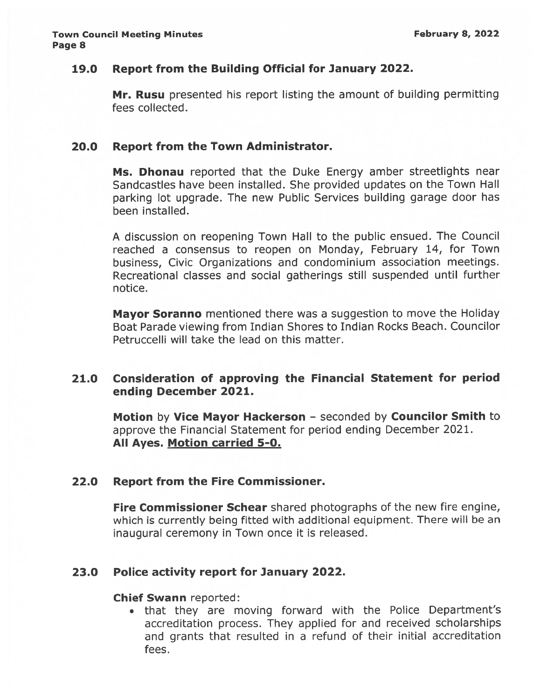## 19.0 Report from the Building Official for January 2022.

Mr. Rusu presented his report listing the amount of building permitting fees collected.

## 20.0 Report from the Town Administrator.

Ms. Dhonau reported that the Duke Energy amber streetlights near Sandcastles have been installed. She provided updates on the Town Hall parking lot upgrade. The new Public Services building garage door has been installed.

<sup>A</sup> discussion on reopening Town Hall to the public ensued. The Council reached <sup>a</sup> consensus to reopen on Monday, February 14, for Town business, Civic Organizations and condominium association meetings. Recreational classes and social gatherings still suspended until further notice.

Mayor Soranno mentioned there was a suggestion to move the Holiday Boat Parade viewing from Indian Shores to Indian Rocks Beach. Councilor Petruccelli will take the lead on this matter.

# 21.0 Consideration of approving the Financial Statement for period ending December 2021.

Motion by Vice Mayor Hackerson - seconded by Councilor Smith to approve the Financial Statement for period ending December 2021. All Ayes. Motion carried 5-0.

## 22.0 Report from the Fire Commissioner.

Fire Commissioner Schear shared photographs of the new fire engine, which is currently being fitted with additional equipment. There will be an inaugural ceremony in Town once it is released.

# 23.0 Police activity repor<sup>t</sup> for January 2022.

## Chief Swann reported:

• that they are moving forward with the Police Department's accreditation process. They applied for and received scholarships and grants that resulted in <sup>a</sup> refund of their initial accreditation fees.